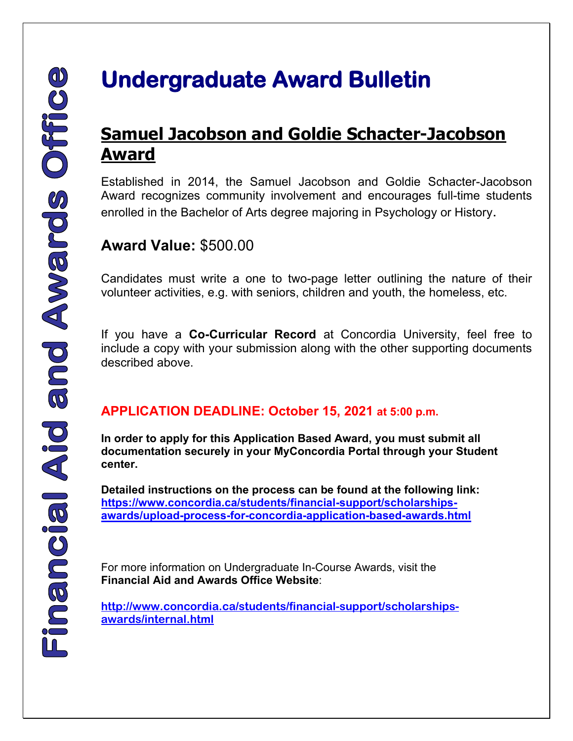## **Samuel Jacobson and Goldie Schacter-Jacobson Award**

Established in 2014, the Samuel Jacobson and Goldie Schacter-Jacobson Award recognizes community involvement and encourages full-time students enrolled in the Bachelor of Arts degree majoring in Psychology or History.

## **Award Value:** \$500.00

Candidates must write a one to two-page letter outlining the nature of their volunteer activities, e.g. with seniors, children and youth, the homeless, etc.

If you have a **Co-Curricular Record** at Concordia University, feel free to include a copy with your submission along with the other supporting documents described above.

## **APPLICATION DEADLINE: October 15, 2021 at 5:00 p.m.**

**In order to apply for this Application Based Award, you must submit all documentation securely in your MyConcordia Portal through your Student center.** 

**Detailed instructions on the process can be found at the following link: [https://www.concordia.ca/students/financial-support/scholarships](https://www.concordia.ca/students/financial-support/scholarships-awards/upload-process-for-concordia-application-based-awards.html)[awards/upload-process-for-concordia-application-based-awards.html](https://www.concordia.ca/students/financial-support/scholarships-awards/upload-process-for-concordia-application-based-awards.html)**

 For more information on Undergraduate In-Course Awards, visit the **Financial Aid and Awards Office Website**:

**[http://www.concordia.ca/students/financial-support/scholarships](http://www.concordia.ca/students/financial-support/scholarships-awards/internal.html)[awards/internal.html](http://www.concordia.ca/students/financial-support/scholarships-awards/internal.html)**